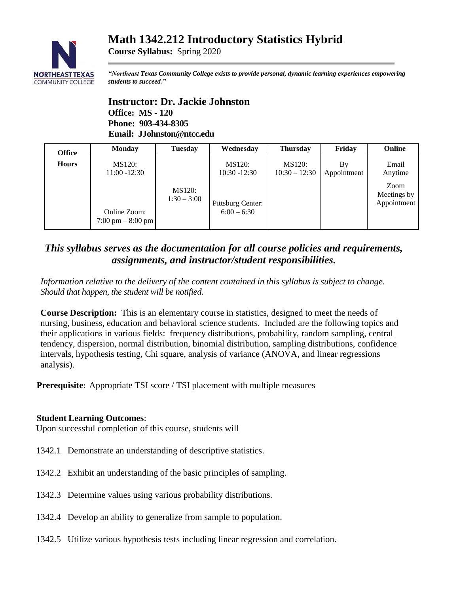# **Math 1342.212 Introductory Statistics Hybrid**



**Course Syllabus:** Spring 2020

*"Northeast Texas Community College exists to provide personal, dynamic learning experiences empowering students to succeed."*

## **Instructor: Dr. Jackie Johnston Office: MS - 120 Phone: 903-434-8305 Email: JJohnston@ntcc.edu**

| <b>Office</b> | <b>Monday</b>                                       | <b>Tuesday</b>          | Wednesday                          | <b>Thursday</b>                  | Friday            | Online                     |
|---------------|-----------------------------------------------------|-------------------------|------------------------------------|----------------------------------|-------------------|----------------------------|
| <b>Hours</b>  | MS120:<br>$11:00 - 12:30$                           |                         | <b>MS120:</b><br>$10:30 - 12:30$   | <b>MS120:</b><br>$10:30 - 12:30$ | By<br>Appointment | Email<br>Anytime<br>Zoom   |
|               | Online Zoom:<br>$7:00 \text{ pm} - 8:00 \text{ pm}$ | MS120:<br>$1:30 - 3:00$ | Pittsburg Center:<br>$6:00 - 6:30$ |                                  |                   | Meetings by<br>Appointment |

## *This syllabus serves as the documentation for all course policies and requirements, assignments, and instructor/student responsibilities.*

*Information relative to the delivery of the content contained in this syllabus is subject to change. Should that happen, the student will be notified.*

**Course Description:** This is an elementary course in statistics, designed to meet the needs of nursing, business, education and behavioral science students. Included are the following topics and their applications in various fields: frequency distributions, probability, random sampling, central tendency, dispersion, normal distribution, binomial distribution, sampling distributions, confidence intervals, hypothesis testing, Chi square, analysis of variance (ANOVA, and linear regressions analysis).

**Prerequisite:** Appropriate TSI score / TSI placement with multiple measures

#### **Student Learning Outcomes**:

Upon successful completion of this course, students will

- 1342.1 Demonstrate an understanding of descriptive statistics.
- 1342.2 Exhibit an understanding of the basic principles of sampling.
- 1342.3 Determine values using various probability distributions.
- 1342.4 Develop an ability to generalize from sample to population.
- 1342.5 Utilize various hypothesis tests including linear regression and correlation.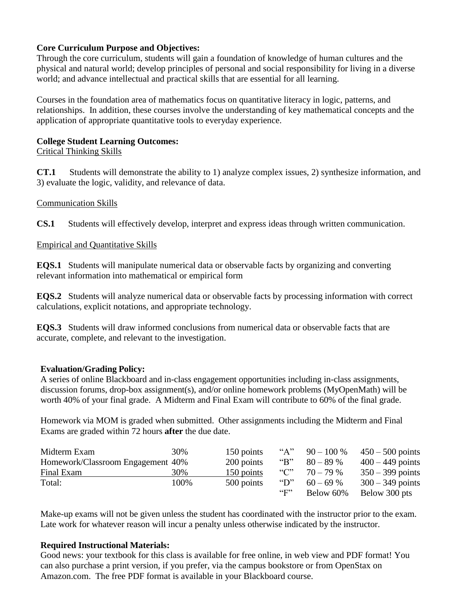### **Core Curriculum Purpose and Objectives:**

Through the core curriculum, students will gain a foundation of knowledge of human cultures and the physical and natural world; develop principles of personal and social responsibility for living in a diverse world; and advance intellectual and practical skills that are essential for all learning.

Courses in the foundation area of mathematics focus on quantitative literacy in logic, patterns, and relationships. In addition, these courses involve the understanding of key mathematical concepts and the application of appropriate quantitative tools to everyday experience.

### **College Student Learning Outcomes:**

```
Critical Thinking Skills
```
**CT.1** Students will demonstrate the ability to 1) analyze complex issues, 2) synthesize information, and 3) evaluate the logic, validity, and relevance of data.

## Communication Skills

**CS.1** Students will effectively develop, interpret and express ideas through written communication.

#### Empirical and Quantitative Skills

**EQS.1** Students will manipulate numerical data or observable facts by organizing and converting relevant information into mathematical or empirical form

**EQS.2** Students will analyze numerical data or observable facts by processing information with correct calculations, explicit notations, and appropriate technology.

**EQS.3** Students will draw informed conclusions from numerical data or observable facts that are accurate, complete, and relevant to the investigation.

## **Evaluation/Grading Policy:**

A series of online Blackboard and in-class engagement opportunities including in-class assignments, discussion forums, drop-box assignment(s), and/or online homework problems (MyOpenMath) will be worth 40% of your final grade. A Midterm and Final Exam will contribute to 60% of the final grade.

Homework via MOM is graded when submitted. Other assignments including the Midterm and Final Exams are graded within 72 hours **after** the due date.

| Midterm Exam                      | 30%  | 150 points | " $A$ "                     | $90 - 100\%$ | $450 - 500$ points |
|-----------------------------------|------|------------|-----------------------------|--------------|--------------------|
| Homework/Classroom Engagement 40% |      | 200 points | " $B$ "                     | $80 - 89%$   | $400 - 449$ points |
| Final Exam                        | 30%  | 150 points | $\lq\lq\lq\lq\lq\lq\lq\lq$  | $70 - 79%$   | $350 - 399$ points |
| Total:                            | 100% | 500 points | $\mathrm{``D''}$            | $60 - 69%$   | $300 - 349$ points |
|                                   |      |            | $\mathfrak{c}_{\mathbf{F}}$ | Below 60%    | Below 300 pts      |

Make-up exams will not be given unless the student has coordinated with the instructor prior to the exam. Late work for whatever reason will incur a penalty unless otherwise indicated by the instructor.

## **Required Instructional Materials:**

Good news: your textbook for this class is available for free online, in web view and PDF format! You can also purchase a print version, if you prefer, via the campus bookstore or from OpenStax on Amazon.com. The free PDF format is available in your Blackboard course.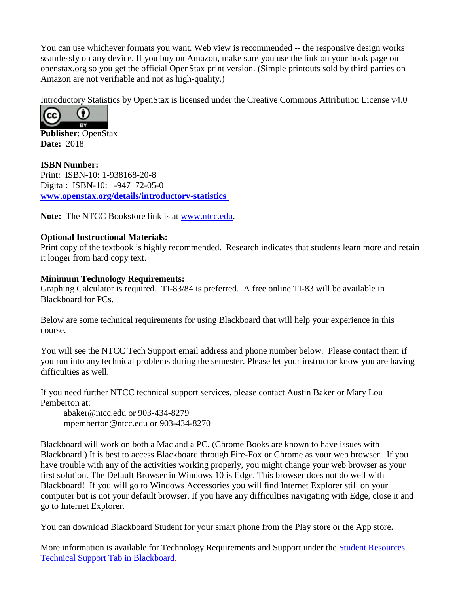You can use whichever formats you want. Web view is recommended -- the responsive design works seamlessly on any device. If you buy on Amazon, make sure you use the link on your book page on openstax.org so you get the official OpenStax print version. (Simple printouts sold by third parties on Amazon are not verifiable and not as high-quality.)

Introductory Statistics by OpenStax is licensed under the Creative Commons Attribution License v4.0



**Publisher**: OpenStax **Date:** 2018

**ISBN Number:**  Print: ISBN-10: 1-938168-20-8 Digital: ISBN-10: 1-947172-05-0 **[www.openstax.org/details/introductory-statistics](http://www.openstax.org/details/introductory-statistics)**

**Note:** The NTCC Bookstore link is at [www.ntcc.edu.](http://www.ntcc.edu/)

#### **Optional Instructional Materials:**

Print copy of the textbook is highly recommended. Research indicates that students learn more and retain it longer from hard copy text.

#### **Minimum Technology Requirements:**

Graphing Calculator is required. TI-83/84 is preferred. A free online TI-83 will be available in Blackboard for PCs.

Below are some technical requirements for using Blackboard that will help your experience in this course.

You will see the NTCC Tech Support email address and phone number below. Please contact them if you run into any technical problems during the semester. Please let your instructor know you are having difficulties as well.

If you need further NTCC technical support services, please contact Austin Baker or Mary Lou Pemberton at:

abaker@ntcc.edu or 903-434-8279 mpemberton@ntcc.edu or 903-434-8270

Blackboard will work on both a Mac and a PC. (Chrome Books are known to have issues with Blackboard.) It is best to access Blackboard through Fire-Fox or Chrome as your web browser. If you have trouble with any of the activities working properly, you might change your web browser as your first solution. The Default Browser in Windows 10 is Edge. This browser does not do well with Blackboard! If you will go to Windows Accessories you will find Internet Explorer still on your computer but is not your default browser. If you have any difficulties navigating with Edge, close it and go to Internet Explorer.

You can download Blackboard Student for your smart phone from the Play store or the App store**.**

More information is available for Technology Requirements and Support under the **Student Resources** – [Technical Support Tab in Blackboard.](https://blackboard.ntcc.edu/webapps/portal/execute/tabs/tabAction?tabId=_14_1&tab_tab_group_id=_15_1)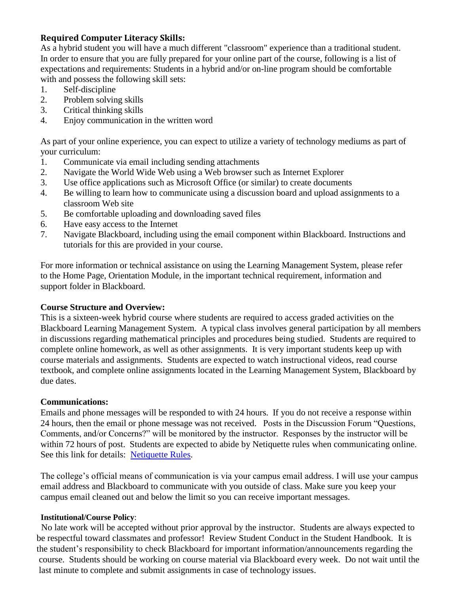## **Required Computer Literacy Skills:**

As a hybrid student you will have a much different "classroom" experience than a traditional student. In order to ensure that you are fully prepared for your online part of the course, following is a list of expectations and requirements: Students in a hybrid and/or on-line program should be comfortable with and possess the following skill sets:

- 1. Self-discipline
- 2. Problem solving skills
- 3. Critical thinking skills
- 4. Enjoy communication in the written word

As part of your online experience, you can expect to utilize a variety of technology mediums as part of your curriculum:

- 1. Communicate via email including sending attachments
- 2. Navigate the World Wide Web using a Web browser such as Internet Explorer
- 3. Use office applications such as Microsoft Office (or similar) to create documents
- 4. Be willing to learn how to communicate using a discussion board and upload assignments to a classroom Web site
- 5. Be comfortable uploading and downloading saved files
- 6. Have easy access to the Internet
- 7. Navigate Blackboard, including using the email component within Blackboard. Instructions and tutorials for this are provided in your course.

For more information or technical assistance on using the Learning Management System, please refer to the Home Page, Orientation Module, in the important technical requirement, information and support folder in Blackboard.

#### **Course Structure and Overview:**

This is a sixteen-week hybrid course where students are required to access graded activities on the Blackboard Learning Management System. A typical class involves general participation by all members in discussions regarding mathematical principles and procedures being studied. Students are required to complete online homework, as well as other assignments. It is very important students keep up with course materials and assignments. Students are expected to watch instructional videos, read course textbook, and complete online assignments located in the Learning Management System, Blackboard by due dates.

#### **Communications:**

Emails and phone messages will be responded to with 24 hours. If you do not receive a response within 24 hours, then the email or phone message was not received. Posts in the Discussion Forum "Questions, Comments, and/or Concerns?" will be monitored by the instructor. Responses by the instructor will be within 72 hours of post. Students are expected to abide by Netiquette rules when communicating online. See this link for details: [Netiquette Rules.](http://www.albion.com/netiquette/corerules.html)

The college's official means of communication is via your campus email address. I will use your campus email address and Blackboard to communicate with you outside of class. Make sure you keep your campus email cleaned out and below the limit so you can receive important messages.

#### **Institutional/Course Policy**:

 No late work will be accepted without prior approval by the instructor. Students are always expected to be respectful toward classmates and professor! Review Student Conduct in the Student Handbook. It is the student's responsibility to check Blackboard for important information/announcements regarding the course. Students should be working on course material via Blackboard every week. Do not wait until the last minute to complete and submit assignments in case of technology issues.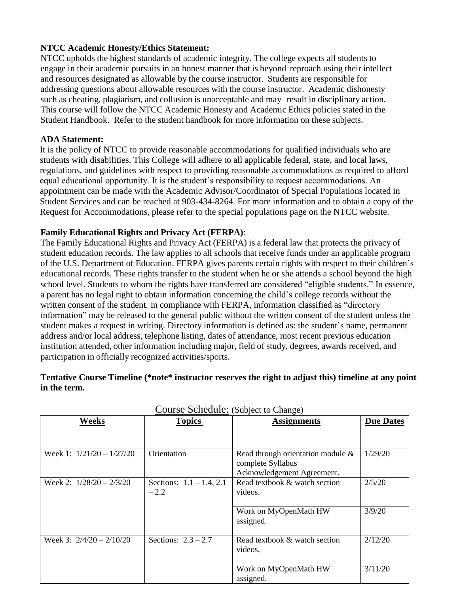#### **NTCC Academic Honesty/Ethics Statement:**

NTCC upholds the highest standards of academic integrity. The college expects all students to engage in their academic pursuits in an honest manner that is beyond reproach using their intellect and resources designated as allowable by the course instructor. Students are responsible for addressing questions about allowable resources with the course instructor. Academic dishonesty such as cheating, plagiarism, and collusion is unacceptable and may result in disciplinary action. This course will follow the NTCC Academic Honesty and Academic Ethics policies stated in the Student Handbook. Refer to the student handbook for more information on these subjects.

#### **ADA Statement:**

It is the policy of NTCC to provide reasonable accommodations for qualified individuals who are students with disabilities. This College will adhere to all applicable federal, state, and local laws, regulations, and guidelines with respect to providing reasonable accommodations as required to afford equal educational opportunity. It is the student's responsibility to request accommodations. An appointment can be made with the Academic Advisor/Coordinator of Special Populations located in Student Services and can be reached at 903-434-8264. For more information and to obtain a copy of the Request for Accommodations, please refer to the special populations page on the NTCC websit[e.](about:blank) 

#### **Family Educational Rights and Privacy Act (FERPA)**:

The Family Educational Rights and Privacy Act (FERPA) is a federal law that protects the privacy of student education records. The law applies to all schools that receive funds under an applicable program of the U.S. Department of Education. FERPA gives parents certain rights with respect to their children's educational records. These rights transfer to the student when he or she attends a school beyond the high school level. Students to whom the rights have transferred are considered "eligible students." In essence, a parent has no legal right to obtain information concerning the child's college records without the written consent of the student. In compliance with FERPA, information classified as "directory information" may be released to the general public without the written consent of the student unless the student makes a request in writing. Directory information is defined as: the student's name, permanent address and/or local address, telephone listing, dates of attendance, most recent previous education institution attended, other information including major, field of study, degrees, awards received, and participation in officially recognized activities/sports.

#### **Tentative Course Timeline (\*note\* instructor reserves the right to adjust this) timeline at any point in the term.**

| Weeks                       | <b>Topics</b>                         | <b>Assignments</b>                                                                      | <b>Due Dates</b> |
|-----------------------------|---------------------------------------|-----------------------------------------------------------------------------------------|------------------|
|                             |                                       |                                                                                         |                  |
| Week 1: $1/21/20 - 1/27/20$ | Orientation                           | Read through orientation module $\&$<br>complete Syllabus<br>Acknowledgement Agreement. | 1/29/20          |
| Week 2: $1/28/20 - 2/3/20$  | Sections: $1.1 - 1.4$ , 2.1<br>$-2.2$ | Read textbook & watch section<br>videos.                                                | 2/5/20           |
|                             |                                       | Work on MyOpenMath HW<br>assigned.                                                      | 3/9/20           |
| Week 3: $2/4/20 - 2/10/20$  | Sections: $2.3 - 2.7$                 | Read textbook & watch section<br>videos,                                                | 2/12/20          |
|                             |                                       | Work on MyOpenMath HW<br>assigned.                                                      | 3/11/20          |

Course Schedule: (Subject to Change)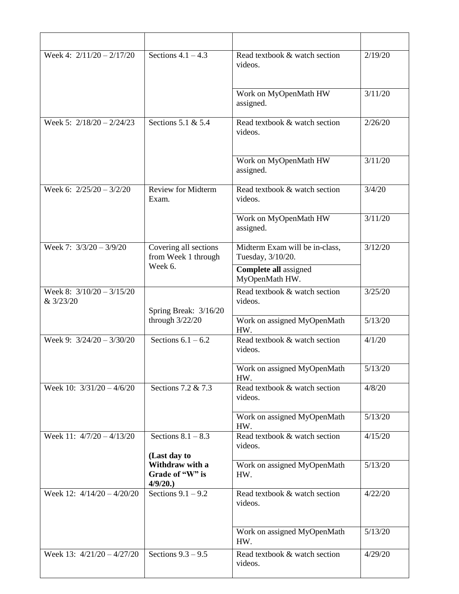| Week 4: $2/11/20 - 2/17/20$              | Sections $4.1 - 4.3$                          | Read textbook & watch section<br>videos.            | 2/19/20              |  |
|------------------------------------------|-----------------------------------------------|-----------------------------------------------------|----------------------|--|
|                                          |                                               | Work on MyOpenMath HW<br>assigned.                  | 3/11/20              |  |
| Week 5: $2/18/20 - 2/24/23$              | Sections 5.1 & 5.4                            | Read textbook & watch section<br>videos.            | 2/26/20              |  |
|                                          |                                               | Work on MyOpenMath HW<br>assigned.                  | 3/11/20              |  |
| Week 6: $2/25/20 - 3/2/20$               | <b>Review for Midterm</b><br>Exam.            | Read textbook & watch section<br>videos.            | 3/4/20               |  |
|                                          |                                               | Work on MyOpenMath HW<br>assigned.                  | $\frac{1}{3}$ /11/20 |  |
| Week 7: $3/3/20 - 3/9/20$                | Covering all sections<br>from Week 1 through  | Midterm Exam will be in-class,<br>Tuesday, 3/10/20. | 3/12/20              |  |
|                                          | Week 6.                                       | <b>Complete all assigned</b><br>MyOpenMath HW.      |                      |  |
| Week 8: $3/10/20 - 3/15/20$<br>& 3/23/20 | Spring Break: 3/16/20                         | Read textbook & watch section<br>videos.            | 3/25/20              |  |
|                                          | through $3/22/20$                             | Work on assigned MyOpenMath<br>HW.                  | 5/13/20              |  |
| Week 9: $3/24/20 - 3/30/20$              | Sections $6.1 - 6.2$                          | Read textbook & watch section<br>videos.            | 4/1/20               |  |
|                                          |                                               | Work on assigned MyOpenMath<br>HW.                  | 5/13/20              |  |
| Week 10: $3/31/20 - 4/6/20$              | Sections 7.2 & 7.3                            | Read textbook & watch section<br>videos.            | 4/8/20               |  |
|                                          |                                               | Work on assigned MyOpenMath<br>HW.                  | 5/13/20              |  |
| Week 11: 4/7/20 - 4/13/20                | Sections $8.1 - 8.3$<br>(Last day to          | Read textbook & watch section<br>videos.            | 4/15/20              |  |
|                                          | Withdraw with a<br>Grade of "W" is<br>4/9/20. | Work on assigned MyOpenMath<br>HW.                  | 5/13/20              |  |
| Week 12: $4/14/20 - 4/20/20$             | Sections $9.1 - 9.2$                          | Read textbook & watch section<br>videos.            | 4/22/20              |  |
|                                          |                                               | Work on assigned MyOpenMath<br>HW.                  | 5/13/20              |  |
| Week 13: $4/21/20 - 4/27/20$             | Sections $9.3 - 9.5$                          | Read textbook & watch section<br>videos.            | 4/29/20              |  |